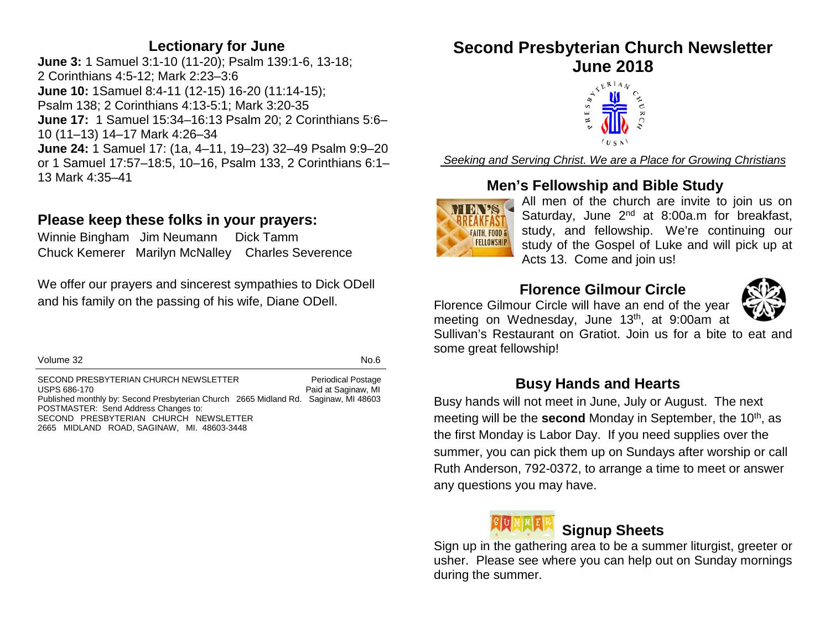#### **Lectionary for June**

**June 3:** 1 Samuel 3:1-10 (11-20); Psalm 139:1-6, 13-18; 2 Corinthians 4:5-12; Mark 2:23–3:6 **June 10:** 1Samuel 8:4-11 (12-15) 16-20 (11:14-15); Psalm 138; 2 Corinthians 4:13-5:1; Mark 3:20-35 **June 17:** 1 Samuel 15:34–16:13 Psalm 20; 2 Corinthians 5:6– 10 (11–13) 14–17 Mark 4:26–34 **June 24:** 1 Samuel 17: (1a, 4–11, 19–23) 32–49 Psalm 9:9–20 or 1 Samuel 17:57–18:5, 10–16, Psalm 133, 2 Corinthians 6:1– 13 Mark 4:35–41

#### **Please keep these folks in your prayers:**

Winnie Bingham Jim Neumann Dick Tamm Chuck Kemerer Marilyn McNalley Charles Severence

We offer our prayers and sincerest sympathies to Dick ODell and his family on the passing of his wife, Diane ODell.

Volume 32 No.6

SECOND PRESBYTERIAN CHURCH NEWSLETTER<br>USPS 686-170 Paid at Saginaw. MI Paid at Saginaw, MI Published monthly by: Second Presbyterian Church 2665 Midland Rd. Saginaw, MI 48603 POSTMASTER: Send Address Changes to: SECOND PRESBYTERIAN CHURCH NEWSLETTER 2665 MIDLAND ROAD, SAGINAW, MI. 48603-3448

# **Second Presbyterian Church Newsletter June 2018**



*Seeking and Serving Christ. We are a Place for Growing Christians*

## **Men's Fellowship and Bible Study**



All men of the church are invite to join us on Saturday, June 2<sup>nd</sup> at 8:00a.m for breakfast, study, and fellowship. We're continuing our study of the Gospel of Luke and will pick up at Acts 13. Come and join us!

## **Florence Gilmour Circle**

Florence Gilmour Circle will have an end of the year meeting on Wednesday, June 13<sup>th</sup>, at 9:00am at



Sullivan's Restaurant on Gratiot. Join us for a bite to eat and some great fellowship!

#### **Busy Hands and Hearts**

Busy hands will not meet in June, July or August. The next meeting will be the **second** Monday in September, the 10<sup>th</sup>, as the first Monday is Labor Day. If you need supplies over the summer, you can pick them up on Sundays after worship or call Ruth Anderson, 792-0372, to arrange a time to meet or answer any questions you may have.

## **Signup Sheets**

Sign up in the gathering area to be a summer liturgist, greeter or usher. Please see where you can help out on Sunday mornings during the summer.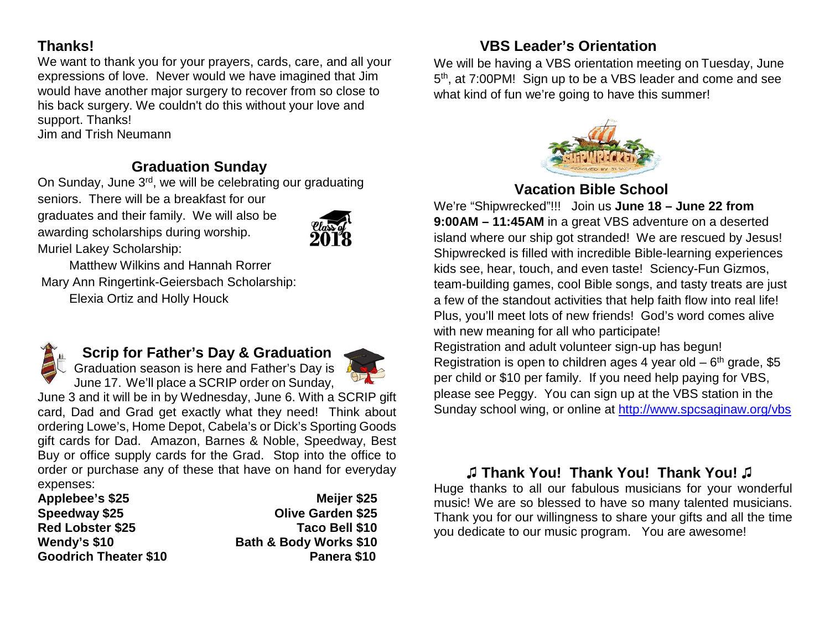## **Thanks!**

We want to thank you for your prayers, cards, care, and all your expressions of love. Never would we have imagined that Jim would have another major surgery to recover from so close to his back surgery. We couldn't do this without your love and support. Thanks! Jim and Trish Neumann

## **Graduation Sunday**

On Sunday, June 3rd, we will be celebrating our graduating

seniors. There will be a breakfast for our graduates and their family. We will also be awarding scholarships during worship. Muriel Lakey Scholarship:



 Matthew Wilkins and Hannah Rorrer Mary Ann Ringertink-Geiersbach Scholarship: Elexia Ortiz and Holly Houck



#### **Scrip for Father's Day & Graduation**



Graduation season is here and Father's Day is June 17. We'll place a SCRIP order on Sunday,

June 3 and it will be in by Wednesday, June 6. With a SCRIP gift card, Dad and Grad get exactly what they need! Think about ordering Lowe's, Home Depot, Cabela's or Dick's Sporting Goods gift cards for Dad. Amazon, Barnes & Noble, Speedway, Best Buy or office supply cards for the Grad. Stop into the office to order or purchase any of these that have on hand for everyday expenses:

| <b>Applebee's \$25</b>       | Meijer \$25              |
|------------------------------|--------------------------|
| Speedway \$25                | <b>Olive Garden \$25</b> |
| <b>Red Lobster \$25</b>      | Taco Bell \$10           |
| Wendy's \$10                 | Bath & Body Works \$10   |
| <b>Goodrich Theater \$10</b> | Panera \$10              |

## **VBS Leader's Orientation**

We will be having a VBS orientation meeting on Tuesday, June 5<sup>th</sup>, at 7:00PM! Sign up to be a VBS leader and come and see what kind of fun we're going to have this summer!



## **Vacation Bible School**

We're "Shipwrecked"!!! Join us **June 18 – June 22 from 9:00AM – 11:45AM** in a great VBS adventure on a deserted island where our ship got stranded! We are rescued by Jesus! Shipwrecked is filled with incredible Bible-learning experiences kids see, hear, touch, and even taste! Sciency-Fun Gizmos, team-building games, cool Bible songs, and tasty treats are just a few of the standout activities that help faith flow into real life! Plus, you'll meet lots of new friends! God's word comes alive with new meaning for all who participate! Registration and adult volunteer sign-up has begun! Registration is open to children ages 4 year old  $-6<sup>th</sup>$  grade, \$5 per child or \$10 per family. If you need help paying for VBS, please see Peggy. You can sign up at the VBS station in the Sunday school wing, or online at<http://www.spcsaginaw.org/vbs>

## **♫ Thank You! Thank You! Thank You! ♫**

Huge thanks to all our fabulous musicians for your wonderful music! We are so blessed to have so many talented musicians. Thank you for our willingness to share your gifts and all the time you dedicate to our music program. You are awesome!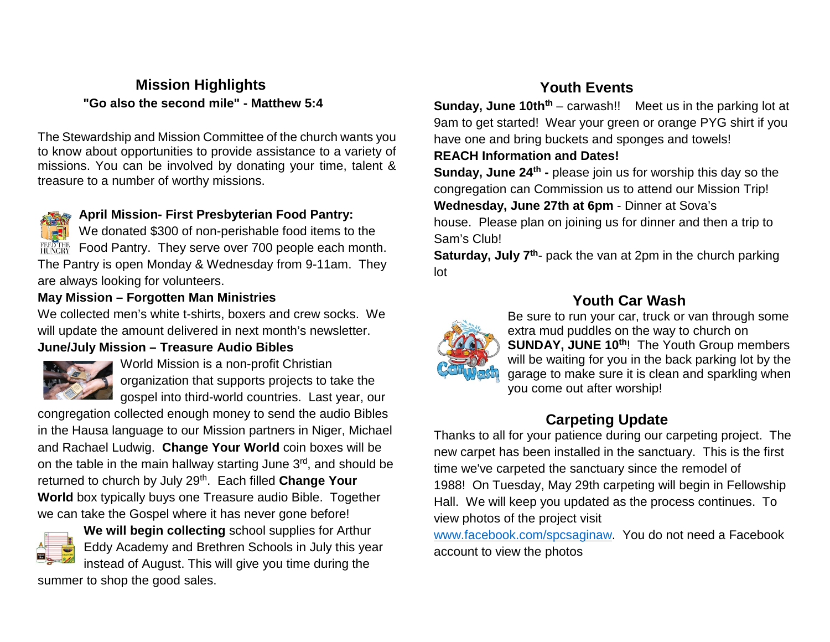#### **Mission Highlights "Go also the second mile" - Matthew 5:4**

The Stewardship and Mission Committee of the church wants you to know about opportunities to provide assistance to a variety of missions. You can be involved by donating your time, talent & treasure to a number of worthy missions.



#### **April Mission- First Presbyterian Food Pantry:**

We donated \$300 of non-perishable food items to the  $F_{\text{HUNGRY}}^{\text{FEEPTHE}}$  Food Pantry. They serve over 700 people each month. The Pantry is open Monday & Wednesday from 9-11am. They are always looking for volunteers.

#### **May Mission – Forgotten Man Ministries**

We collected men's white t-shirts, boxers and crew socks. We will update the amount delivered in next month's newsletter.

#### **June/July Mission – Treasure Audio Bibles**



World Mission is a non-profit Christian organization that supports projects to take the gospel into third-world countries. Last year, our

congregation collected enough money to send the audio Bibles in the Hausa language to our Mission partners in Niger, Michael and Rachael Ludwig. **Change Your World** coin boxes will be on the table in the main hallway starting June 3rd, and should be returned to church by July 29<sup>th</sup>. Each filled **Change Your World** box typically buys one Treasure audio Bible. Together we can take the Gospel where it has never gone before!



**We will begin collecting** school supplies for Arthur Eddy Academy and Brethren Schools in July this year instead of August. This will give you time during the summer to shop the good sales.

## **Youth Events**

**Sunday, June 10th<sup>th</sup>** – carwash!! Meet us in the parking lot at 9am to get started! Wear your green or orange PYG shirt if you have one and bring buckets and sponges and towels!

#### **REACH Information and Dates!**

**Sunday, June 24<sup>th</sup> -** please join us for worship this day so the congregation can Commission us to attend our Mission Trip! **Wednesday, June 27th at 6pm** - Dinner at Sova's house. Please plan on joining us for dinner and then a trip to

Sam's Club!

**Saturday, July 7<sup>th</sup>-** pack the van at 2pm in the church parking lot

## **Youth Car Wash**



Be sure to run your car, truck or van through some extra mud puddles on the way to church on **SUNDAY, JUNE 10th! The Youth Group members** will be waiting for you in the back parking lot by the garage to make sure it is clean and sparkling when you come out after worship!

## **Carpeting Update**

Thanks to all for your patience during our carpeting project. The new carpet has been installed in the sanctuary. This is the first time we've carpeted the sanctuary since the remodel of 1988! On Tuesday, May 29th carpeting will begin in Fellowship Hall. We will keep you updated as the process continues. To view photos of the project visit

[www.facebook.com/spcsaginaw.](http://www.facebook.com/spcsaginaw) You do not need a Facebook account to view the photos